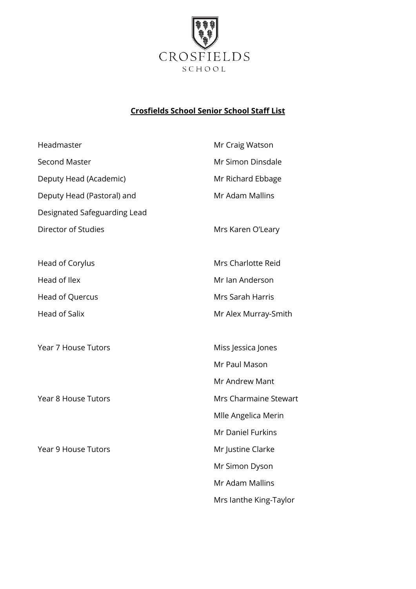

## **Crosfields School Senior School Staff List**

| Headmaster                   | Mr Craig Watson        |
|------------------------------|------------------------|
| <b>Second Master</b>         | Mr Simon Dinsdale      |
| Deputy Head (Academic)       | Mr Richard Ebbage      |
| Deputy Head (Pastoral) and   | Mr Adam Mallins        |
| Designated Safeguarding Lead |                        |
| Director of Studies          | Mrs Karen O'Leary      |
| Head of Corylus              | Mrs Charlotte Reid     |
| Head of Ilex                 | Mr Ian Anderson        |
| <b>Head of Quercus</b>       | Mrs Sarah Harris       |
| <b>Head of Salix</b>         | Mr Alex Murray-Smith   |
| Year 7 House Tutors          | Miss Jessica Jones     |
|                              | Mr Paul Mason          |
|                              | Mr Andrew Mant         |
| Year 8 House Tutors          | Mrs Charmaine Stewart  |
|                              | Mlle Angelica Merin    |
|                              | Mr Daniel Furkins      |
| <b>Year 9 House Tutors</b>   | Mr Justine Clarke      |
|                              | Mr Simon Dyson         |
|                              | Mr Adam Mallins        |
|                              | Mrs lanthe King-Taylor |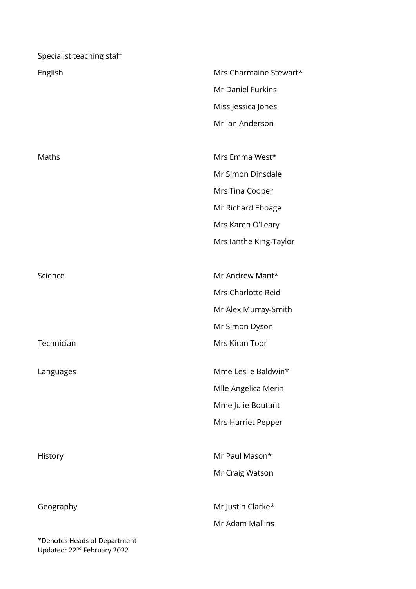| Specialist teaching staff    |                        |
|------------------------------|------------------------|
| English                      | Mrs Charmaine Stewart* |
|                              | Mr Daniel Furkins      |
|                              | Miss Jessica Jones     |
|                              | Mr Ian Anderson        |
|                              |                        |
| Maths                        | Mrs Emma West*         |
|                              | Mr Simon Dinsdale      |
|                              | Mrs Tina Cooper        |
|                              | Mr Richard Ebbage      |
|                              | Mrs Karen O'Leary      |
|                              | Mrs lanthe King-Taylor |
|                              |                        |
| Science                      | Mr Andrew Mant*        |
|                              | Mrs Charlotte Reid     |
|                              | Mr Alex Murray-Smith   |
|                              | Mr Simon Dyson         |
| Technician                   | <b>Mrs Kiran Toor</b>  |
| Languages                    | Mme Leslie Baldwin*    |
|                              | Mlle Angelica Merin    |
|                              | Mme Julie Boutant      |
|                              | Mrs Harriet Pepper     |
|                              |                        |
| History                      | Mr Paul Mason*         |
|                              | Mr Craig Watson        |
|                              |                        |
| Geography                    | Mr Justin Clarke*      |
|                              | Mr Adam Mallins        |
| *Denotes Heads of Department |                        |

Updated: 22nd February 2022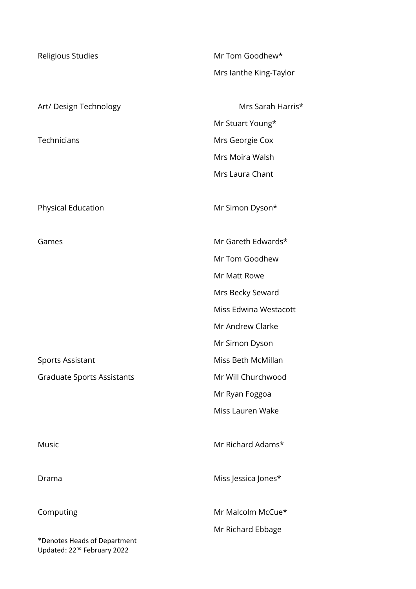| Religious Studies                                                       | Mr Tom Goodhew*        |
|-------------------------------------------------------------------------|------------------------|
|                                                                         | Mrs lanthe King-Taylor |
| Art/ Design Technology                                                  | Mrs Sarah Harris*      |
|                                                                         | Mr Stuart Young*       |
| Technicians                                                             | Mrs Georgie Cox        |
|                                                                         | Mrs Moira Walsh        |
|                                                                         | Mrs Laura Chant        |
| Physical Education                                                      | Mr Simon Dyson*        |
| Games                                                                   | Mr Gareth Edwards*     |
|                                                                         | Mr Tom Goodhew         |
|                                                                         | Mr Matt Rowe           |
|                                                                         | Mrs Becky Seward       |
|                                                                         | Miss Edwina Westacott  |
|                                                                         | Mr Andrew Clarke       |
|                                                                         | Mr Simon Dyson         |
| Sports Assistant                                                        | Miss Beth McMillan     |
| <b>Graduate Sports Assistants</b>                                       | Mr Will Churchwood     |
|                                                                         | Mr Ryan Foggoa         |
|                                                                         | Miss Lauren Wake       |
| Music                                                                   | Mr Richard Adams*      |
| Drama                                                                   | Miss Jessica Jones*    |
| Computing                                                               | Mr Malcolm McCue*      |
|                                                                         | Mr Richard Ebbage      |
| *Denotes Heads of Department<br>Updated: 22 <sup>nd</sup> February 2022 |                        |